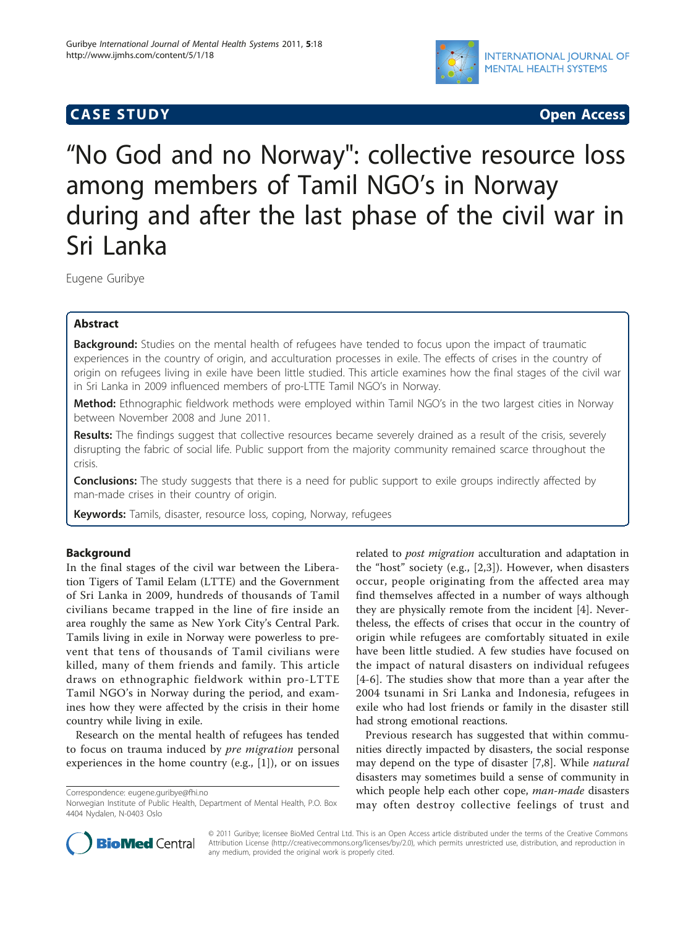## **CASE STUDY CASE STUDY Open Access**



# "No God and no Norway": collective resource loss among members of Tamil NGO's in Norway during and after the last phase of the civil war in Sri Lanka

Eugene Guribye

## Abstract

**Background:** Studies on the mental health of refugees have tended to focus upon the impact of traumatic experiences in the country of origin, and acculturation processes in exile. The effects of crises in the country of origin on refugees living in exile have been little studied. This article examines how the final stages of the civil war in Sri Lanka in 2009 influenced members of pro-LTTE Tamil NGO's in Norway.

Method: Ethnographic fieldwork methods were employed within Tamil NGO's in the two largest cities in Norway between November 2008 and June 2011.

Results: The findings suggest that collective resources became severely drained as a result of the crisis, severely disrupting the fabric of social life. Public support from the majority community remained scarce throughout the crisis.

**Conclusions:** The study suggests that there is a need for public support to exile groups indirectly affected by man-made crises in their country of origin.

Keywords: Tamils, disaster, resource loss, coping, Norway, refugees

## Background

In the final stages of the civil war between the Liberation Tigers of Tamil Eelam (LTTE) and the Government of Sri Lanka in 2009, hundreds of thousands of Tamil civilians became trapped in the line of fire inside an area roughly the same as New York City's Central Park. Tamils living in exile in Norway were powerless to prevent that tens of thousands of Tamil civilians were killed, many of them friends and family. This article draws on ethnographic fieldwork within pro-LTTE Tamil NGO's in Norway during the period, and examines how they were affected by the crisis in their home country while living in exile.

Research on the mental health of refugees has tended to focus on trauma induced by pre migration personal experiences in the home country (e.g., [\[1](#page-10-0)]), or on issues

Correspondence: [eugene.guribye@fhi.no](mailto:eugene.guribye@fhi.no)

related to *post migration* acculturation and adaptation in the "host" society (e.g., [[2,3](#page-10-0)]). However, when disasters occur, people originating from the affected area may find themselves affected in a number of ways although they are physically remote from the incident [[4\]](#page-10-0). Nevertheless, the effects of crises that occur in the country of origin while refugees are comfortably situated in exile have been little studied. A few studies have focused on the impact of natural disasters on individual refugees [[4-6\]](#page-10-0). The studies show that more than a year after the 2004 tsunami in Sri Lanka and Indonesia, refugees in exile who had lost friends or family in the disaster still had strong emotional reactions.

Previous research has suggested that within communities directly impacted by disasters, the social response may depend on the type of disaster [[7,8\]](#page-10-0). While natural disasters may sometimes build a sense of community in which people help each other cope, man-made disasters may often destroy collective feelings of trust and



© 2011 Guribye; licensee BioMed Central Ltd. This is an Open Access article distributed under the terms of the Creative Commons Attribution License [\(http://creativecommons.org/licenses/by/2.0](http://creativecommons.org/licenses/by/2.0)), which permits unrestricted use, distribution, and reproduction in any medium, provided the original work is properly cited.

Norwegian Institute of Public Health, Department of Mental Health, P.O. Box 4404 Nydalen, N-0403 Oslo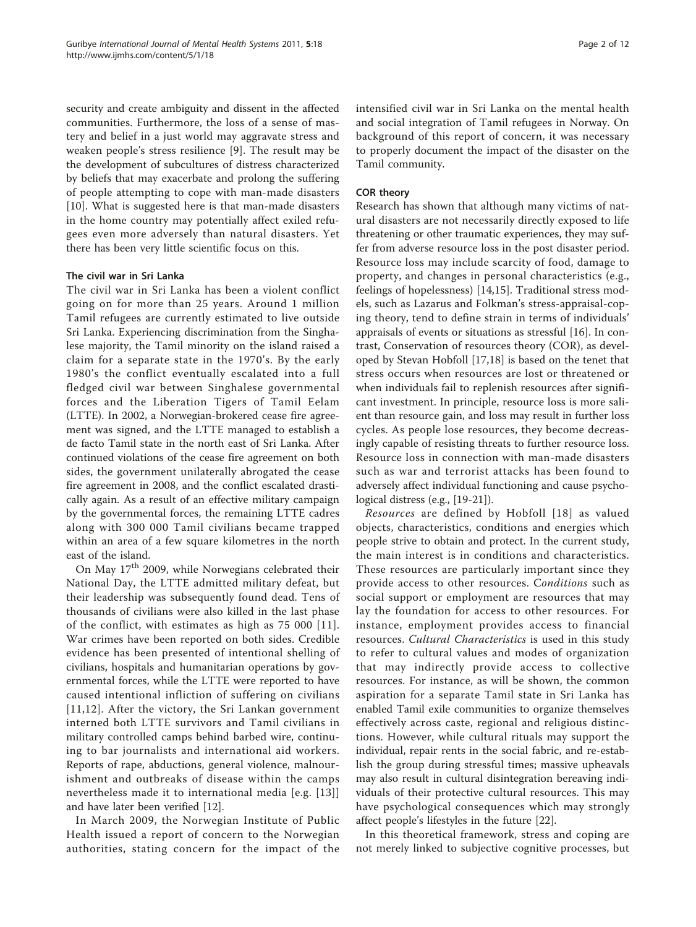security and create ambiguity and dissent in the affected communities. Furthermore, the loss of a sense of mastery and belief in a just world may aggravate stress and weaken people's stress resilience [[9\]](#page-10-0). The result may be the development of subcultures of distress characterized by beliefs that may exacerbate and prolong the suffering of people attempting to cope with man-made disasters [[10\]](#page-10-0). What is suggested here is that man-made disasters in the home country may potentially affect exiled refugees even more adversely than natural disasters. Yet there has been very little scientific focus on this.

#### The civil war in Sri Lanka

The civil war in Sri Lanka has been a violent conflict going on for more than 25 years. Around 1 million Tamil refugees are currently estimated to live outside Sri Lanka. Experiencing discrimination from the Singhalese majority, the Tamil minority on the island raised a claim for a separate state in the 1970's. By the early 1980's the conflict eventually escalated into a full fledged civil war between Singhalese governmental forces and the Liberation Tigers of Tamil Eelam (LTTE). In 2002, a Norwegian-brokered cease fire agreement was signed, and the LTTE managed to establish a de facto Tamil state in the north east of Sri Lanka. After continued violations of the cease fire agreement on both sides, the government unilaterally abrogated the cease fire agreement in 2008, and the conflict escalated drastically again. As a result of an effective military campaign by the governmental forces, the remaining LTTE cadres along with 300 000 Tamil civilians became trapped within an area of a few square kilometres in the north east of the island.

On May  $17<sup>th</sup>$  2009, while Norwegians celebrated their National Day, the LTTE admitted military defeat, but their leadership was subsequently found dead. Tens of thousands of civilians were also killed in the last phase of the conflict, with estimates as high as 75 000 [[11\]](#page-10-0). War crimes have been reported on both sides. Credible evidence has been presented of intentional shelling of civilians, hospitals and humanitarian operations by governmental forces, while the LTTE were reported to have caused intentional infliction of suffering on civilians [[11](#page-10-0),[12](#page-10-0)]. After the victory, the Sri Lankan government interned both LTTE survivors and Tamil civilians in military controlled camps behind barbed wire, continuing to bar journalists and international aid workers. Reports of rape, abductions, general violence, malnourishment and outbreaks of disease within the camps nevertheless made it to international media [e.g. [[13\]](#page-10-0)] and have later been verified [[12\]](#page-10-0).

In March 2009, the Norwegian Institute of Public Health issued a report of concern to the Norwegian authorities, stating concern for the impact of the intensified civil war in Sri Lanka on the mental health and social integration of Tamil refugees in Norway. On background of this report of concern, it was necessary to properly document the impact of the disaster on the Tamil community.

## COR theory

Research has shown that although many victims of natural disasters are not necessarily directly exposed to life threatening or other traumatic experiences, they may suffer from adverse resource loss in the post disaster period. Resource loss may include scarcity of food, damage to property, and changes in personal characteristics (e.g., feelings of hopelessness) [\[14,15](#page-10-0)]. Traditional stress models, such as Lazarus and Folkman's stress-appraisal-coping theory, tend to define strain in terms of individuals' appraisals of events or situations as stressful [[16](#page-10-0)]. In contrast, Conservation of resources theory (COR), as developed by Stevan Hobfoll [[17,18\]](#page-10-0) is based on the tenet that stress occurs when resources are lost or threatened or when individuals fail to replenish resources after significant investment. In principle, resource loss is more salient than resource gain, and loss may result in further loss cycles. As people lose resources, they become decreasingly capable of resisting threats to further resource loss. Resource loss in connection with man-made disasters such as war and terrorist attacks has been found to adversely affect individual functioning and cause psychological distress (e.g., [\[19-21](#page-10-0)]).

Resources are defined by Hobfoll [[18](#page-10-0)] as valued objects, characteristics, conditions and energies which people strive to obtain and protect. In the current study, the main interest is in conditions and characteristics. These resources are particularly important since they provide access to other resources. Conditions such as social support or employment are resources that may lay the foundation for access to other resources. For instance, employment provides access to financial resources. Cultural Characteristics is used in this study to refer to cultural values and modes of organization that may indirectly provide access to collective resources. For instance, as will be shown, the common aspiration for a separate Tamil state in Sri Lanka has enabled Tamil exile communities to organize themselves effectively across caste, regional and religious distinctions. However, while cultural rituals may support the individual, repair rents in the social fabric, and re-establish the group during stressful times; massive upheavals may also result in cultural disintegration bereaving individuals of their protective cultural resources. This may have psychological consequences which may strongly affect people's lifestyles in the future [\[22](#page-10-0)].

In this theoretical framework, stress and coping are not merely linked to subjective cognitive processes, but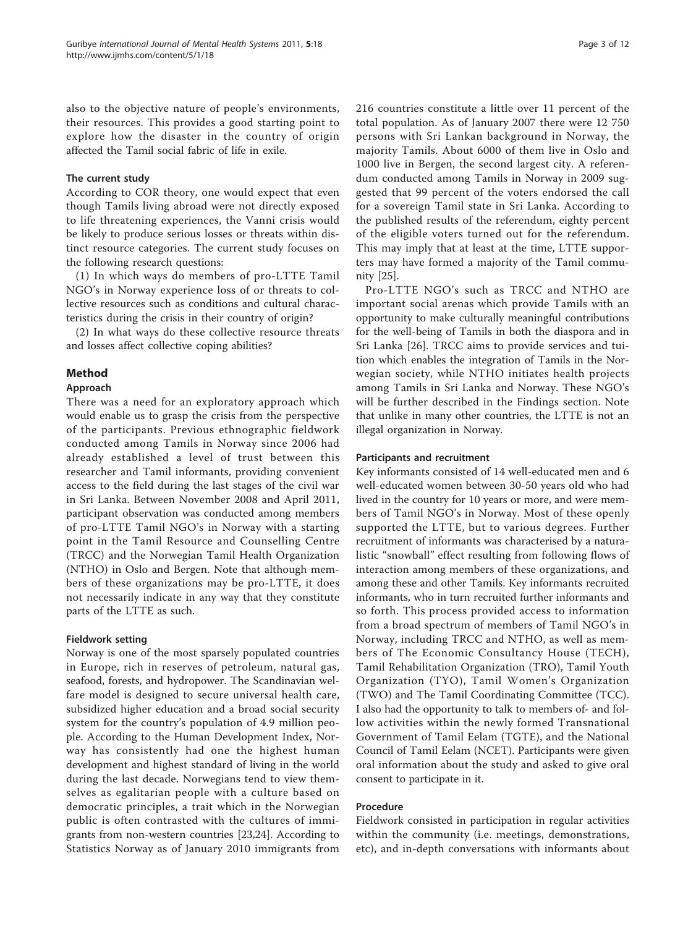also to the objective nature of people's environments, their resources. This provides a good starting point to explore how the disaster in the country of origin affected the Tamil social fabric of life in exile.

#### The current study

According to COR theory, one would expect that even though Tamils living abroad were not directly exposed to life threatening experiences, the Vanni crisis would be likely to produce serious losses or threats within distinct resource categories. The current study focuses on the following research questions:

(1) In which ways do members of pro-LTTE Tamil NGO's in Norway experience loss of or threats to collective resources such as conditions and cultural characteristics during the crisis in their country of origin?

(2) In what ways do these collective resource threats and losses affect collective coping abilities?

## Method

## Approach

There was a need for an exploratory approach which would enable us to grasp the crisis from the perspective of the participants. Previous ethnographic fieldwork conducted among Tamils in Norway since 2006 had already established a level of trust between this researcher and Tamil informants, providing convenient access to the field during the last stages of the civil war in Sri Lanka. Between November 2008 and April 2011, participant observation was conducted among members of pro-LTTE Tamil NGO's in Norway with a starting point in the Tamil Resource and Counselling Centre (TRCC) and the Norwegian Tamil Health Organization (NTHO) in Oslo and Bergen. Note that although members of these organizations may be pro-LTTE, it does not necessarily indicate in any way that they constitute parts of the LTTE as such.

## Fieldwork setting

Norway is one of the most sparsely populated countries in Europe, rich in reserves of petroleum, natural gas, seafood, forests, and hydropower. The Scandinavian welfare model is designed to secure universal health care, subsidized higher education and a broad social security system for the country's population of 4.9 million people. According to the Human Development Index, Norway has consistently had one the highest human development and highest standard of living in the world during the last decade. Norwegians tend to view themselves as egalitarian people with a culture based on democratic principles, a trait which in the Norwegian public is often contrasted with the cultures of immigrants from non-western countries [\[23,24](#page-10-0)]. According to Statistics Norway as of January 2010 immigrants from 216 countries constitute a little over 11 percent of the total population. As of January 2007 there were 12 750 persons with Sri Lankan background in Norway, the majority Tamils. About 6000 of them live in Oslo and 1000 live in Bergen, the second largest city. A referendum conducted among Tamils in Norway in 2009 suggested that 99 percent of the voters endorsed the call for a sovereign Tamil state in Sri Lanka. According to the published results of the referendum, eighty percent of the eligible voters turned out for the referendum. This may imply that at least at the time, LTTE supporters may have formed a majority of the Tamil community [[25](#page-10-0)].

Pro-LTTE NGO's such as TRCC and NTHO are important social arenas which provide Tamils with an opportunity to make culturally meaningful contributions for the well-being of Tamils in both the diaspora and in Sri Lanka [\[26](#page-11-0)]. TRCC aims to provide services and tuition which enables the integration of Tamils in the Norwegian society, while NTHO initiates health projects among Tamils in Sri Lanka and Norway. These NGO's will be further described in the Findings section. Note that unlike in many other countries, the LTTE is not an illegal organization in Norway.

#### Participants and recruitment

Key informants consisted of 14 well-educated men and 6 well-educated women between 30-50 years old who had lived in the country for 10 years or more, and were members of Tamil NGO's in Norway. Most of these openly supported the LTTE, but to various degrees. Further recruitment of informants was characterised by a naturalistic "snowball" effect resulting from following flows of interaction among members of these organizations, and among these and other Tamils. Key informants recruited informants, who in turn recruited further informants and so forth. This process provided access to information from a broad spectrum of members of Tamil NGO's in Norway, including TRCC and NTHO, as well as members of The Economic Consultancy House (TECH), Tamil Rehabilitation Organization (TRO), Tamil Youth Organization (TYO), Tamil Women's Organization (TWO) and The Tamil Coordinating Committee (TCC). I also had the opportunity to talk to members of- and follow activities within the newly formed Transnational Government of Tamil Eelam (TGTE), and the National Council of Tamil Eelam (NCET). Participants were given oral information about the study and asked to give oral consent to participate in it.

## Procedure

Fieldwork consisted in participation in regular activities within the community (i.e. meetings, demonstrations, etc), and in-depth conversations with informants about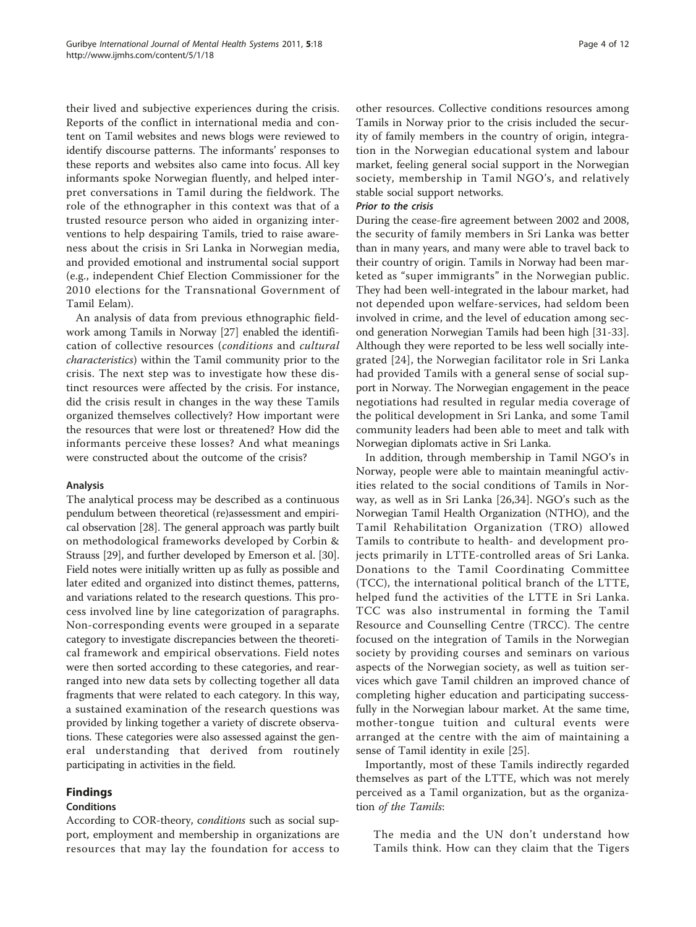their lived and subjective experiences during the crisis. Reports of the conflict in international media and content on Tamil websites and news blogs were reviewed to identify discourse patterns. The informants' responses to these reports and websites also came into focus. All key informants spoke Norwegian fluently, and helped interpret conversations in Tamil during the fieldwork. The role of the ethnographer in this context was that of a trusted resource person who aided in organizing interventions to help despairing Tamils, tried to raise awareness about the crisis in Sri Lanka in Norwegian media, and provided emotional and instrumental social support (e.g., independent Chief Election Commissioner for the 2010 elections for the Transnational Government of Tamil Eelam).

An analysis of data from previous ethnographic fieldwork among Tamils in Norway [[27](#page-11-0)] enabled the identification of collective resources (conditions and cultural characteristics) within the Tamil community prior to the crisis. The next step was to investigate how these distinct resources were affected by the crisis. For instance, did the crisis result in changes in the way these Tamils organized themselves collectively? How important were the resources that were lost or threatened? How did the informants perceive these losses? And what meanings were constructed about the outcome of the crisis?

#### Analysis

The analytical process may be described as a continuous pendulum between theoretical (re)assessment and empirical observation [\[28\]](#page-11-0). The general approach was partly built on methodological frameworks developed by Corbin & Strauss [\[29\]](#page-11-0), and further developed by Emerson et al. [[30](#page-11-0)]. Field notes were initially written up as fully as possible and later edited and organized into distinct themes, patterns, and variations related to the research questions. This process involved line by line categorization of paragraphs. Non-corresponding events were grouped in a separate category to investigate discrepancies between the theoretical framework and empirical observations. Field notes were then sorted according to these categories, and rearranged into new data sets by collecting together all data fragments that were related to each category. In this way, a sustained examination of the research questions was provided by linking together a variety of discrete observations. These categories were also assessed against the general understanding that derived from routinely participating in activities in the field.

## Findings

## Conditions

According to COR-theory, conditions such as social support, employment and membership in organizations are resources that may lay the foundation for access to

other resources. Collective conditions resources among Tamils in Norway prior to the crisis included the security of family members in the country of origin, integration in the Norwegian educational system and labour market, feeling general social support in the Norwegian society, membership in Tamil NGO's, and relatively stable social support networks.

## Prior to the crisis

During the cease-fire agreement between 2002 and 2008, the security of family members in Sri Lanka was better than in many years, and many were able to travel back to their country of origin. Tamils in Norway had been marketed as "super immigrants" in the Norwegian public. They had been well-integrated in the labour market, had not depended upon welfare-services, had seldom been involved in crime, and the level of education among second generation Norwegian Tamils had been high [\[31-33](#page-11-0)]. Although they were reported to be less well socially integrated [[24](#page-10-0)], the Norwegian facilitator role in Sri Lanka had provided Tamils with a general sense of social support in Norway. The Norwegian engagement in the peace negotiations had resulted in regular media coverage of the political development in Sri Lanka, and some Tamil community leaders had been able to meet and talk with Norwegian diplomats active in Sri Lanka.

In addition, through membership in Tamil NGO's in Norway, people were able to maintain meaningful activities related to the social conditions of Tamils in Norway, as well as in Sri Lanka [\[26,34](#page-11-0)]. NGO's such as the Norwegian Tamil Health Organization (NTHO), and the Tamil Rehabilitation Organization (TRO) allowed Tamils to contribute to health- and development projects primarily in LTTE-controlled areas of Sri Lanka. Donations to the Tamil Coordinating Committee (TCC), the international political branch of the LTTE, helped fund the activities of the LTTE in Sri Lanka. TCC was also instrumental in forming the Tamil Resource and Counselling Centre (TRCC). The centre focused on the integration of Tamils in the Norwegian society by providing courses and seminars on various aspects of the Norwegian society, as well as tuition services which gave Tamil children an improved chance of completing higher education and participating successfully in the Norwegian labour market. At the same time, mother-tongue tuition and cultural events were arranged at the centre with the aim of maintaining a sense of Tamil identity in exile [\[25](#page-10-0)].

Importantly, most of these Tamils indirectly regarded themselves as part of the LTTE, which was not merely perceived as a Tamil organization, but as the organization of the Tamils:

The media and the UN don't understand how Tamils think. How can they claim that the Tigers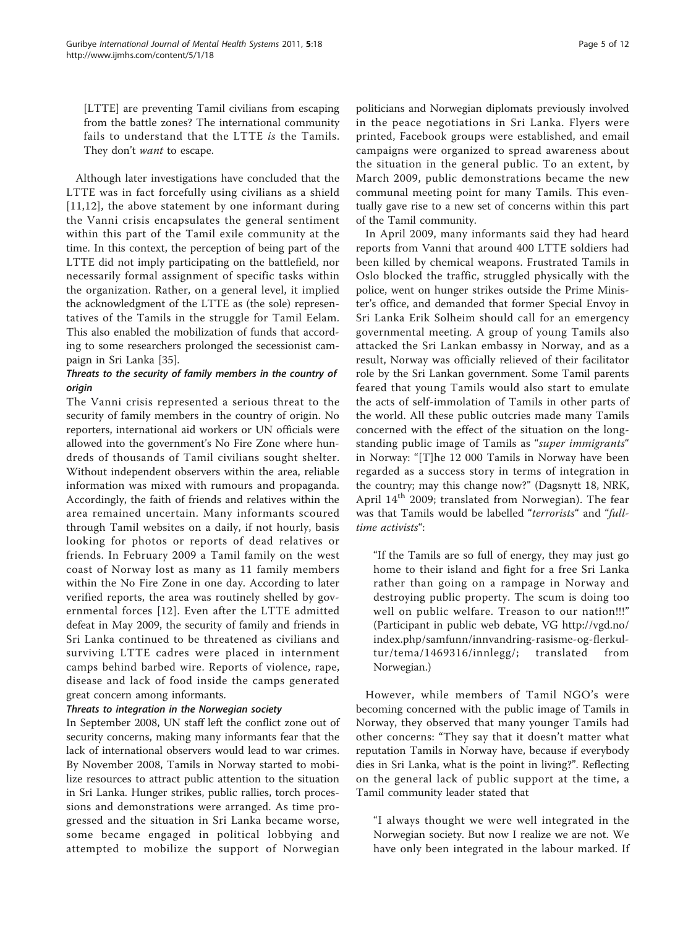[LTTE] are preventing Tamil civilians from escaping from the battle zones? The international community fails to understand that the LTTE is the Tamils. They don't want to escape.

Although later investigations have concluded that the LTTE was in fact forcefully using civilians as a shield [[11](#page-10-0),[12](#page-10-0)], the above statement by one informant during the Vanni crisis encapsulates the general sentiment within this part of the Tamil exile community at the time. In this context, the perception of being part of the LTTE did not imply participating on the battlefield, nor necessarily formal assignment of specific tasks within the organization. Rather, on a general level, it implied the acknowledgment of the LTTE as (the sole) representatives of the Tamils in the struggle for Tamil Eelam. This also enabled the mobilization of funds that according to some researchers prolonged the secessionist campaign in Sri Lanka [[35](#page-11-0)].

## Threats to the security of family members in the country of origin

The Vanni crisis represented a serious threat to the security of family members in the country of origin. No reporters, international aid workers or UN officials were allowed into the government's No Fire Zone where hundreds of thousands of Tamil civilians sought shelter. Without independent observers within the area, reliable information was mixed with rumours and propaganda. Accordingly, the faith of friends and relatives within the area remained uncertain. Many informants scoured through Tamil websites on a daily, if not hourly, basis looking for photos or reports of dead relatives or friends. In February 2009 a Tamil family on the west coast of Norway lost as many as 11 family members within the No Fire Zone in one day. According to later verified reports, the area was routinely shelled by governmental forces [[12](#page-10-0)]. Even after the LTTE admitted defeat in May 2009, the security of family and friends in Sri Lanka continued to be threatened as civilians and surviving LTTE cadres were placed in internment camps behind barbed wire. Reports of violence, rape, disease and lack of food inside the camps generated great concern among informants.

## Threats to integration in the Norwegian society

In September 2008, UN staff left the conflict zone out of security concerns, making many informants fear that the lack of international observers would lead to war crimes. By November 2008, Tamils in Norway started to mobilize resources to attract public attention to the situation in Sri Lanka. Hunger strikes, public rallies, torch processions and demonstrations were arranged. As time progressed and the situation in Sri Lanka became worse, some became engaged in political lobbying and attempted to mobilize the support of Norwegian

politicians and Norwegian diplomats previously involved in the peace negotiations in Sri Lanka. Flyers were printed, Facebook groups were established, and email campaigns were organized to spread awareness about the situation in the general public. To an extent, by March 2009, public demonstrations became the new communal meeting point for many Tamils. This eventually gave rise to a new set of concerns within this part of the Tamil community.

In April 2009, many informants said they had heard reports from Vanni that around 400 LTTE soldiers had been killed by chemical weapons. Frustrated Tamils in Oslo blocked the traffic, struggled physically with the police, went on hunger strikes outside the Prime Minister's office, and demanded that former Special Envoy in Sri Lanka Erik Solheim should call for an emergency governmental meeting. A group of young Tamils also attacked the Sri Lankan embassy in Norway, and as a result, Norway was officially relieved of their facilitator role by the Sri Lankan government. Some Tamil parents feared that young Tamils would also start to emulate the acts of self-immolation of Tamils in other parts of the world. All these public outcries made many Tamils concerned with the effect of the situation on the longstanding public image of Tamils as "super immigrants" in Norway: "[T]he 12 000 Tamils in Norway have been regarded as a success story in terms of integration in the country; may this change now?" (Dagsnytt 18, NRK, April 14<sup>th</sup> 2009; translated from Norwegian). The fear was that Tamils would be labelled "terrorists" and "fulltime activists":

"If the Tamils are so full of energy, they may just go home to their island and fight for a free Sri Lanka rather than going on a rampage in Norway and destroying public property. The scum is doing too well on public welfare. Treason to our nation!!!" (Participant in public web debate, VG [http://vgd.no/](http://vgd.no/index.php/samfunn/innvandring-rasisme-og-flerkultur/tema/1469316/innlegg/) [index.php/samfunn/innvandring-rasisme-og-flerkul](http://vgd.no/index.php/samfunn/innvandring-rasisme-og-flerkultur/tema/1469316/innlegg/)[tur/tema/1469316/innlegg/;](http://vgd.no/index.php/samfunn/innvandring-rasisme-og-flerkultur/tema/1469316/innlegg/) translated from Norwegian.)

However, while members of Tamil NGO's were becoming concerned with the public image of Tamils in Norway, they observed that many younger Tamils had other concerns: "They say that it doesn't matter what reputation Tamils in Norway have, because if everybody dies in Sri Lanka, what is the point in living?". Reflecting on the general lack of public support at the time, a Tamil community leader stated that

"I always thought we were well integrated in the Norwegian society. But now I realize we are not. We have only been integrated in the labour marked. If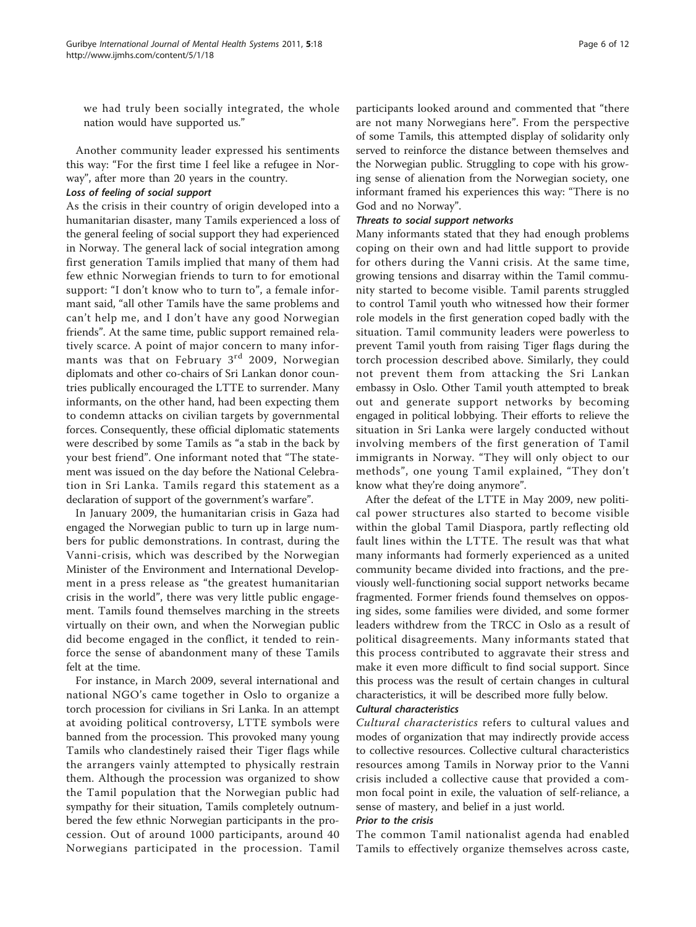we had truly been socially integrated, the whole nation would have supported us."

Another community leader expressed his sentiments this way: "For the first time I feel like a refugee in Norway", after more than 20 years in the country.

#### Loss of feeling of social support

As the crisis in their country of origin developed into a humanitarian disaster, many Tamils experienced a loss of the general feeling of social support they had experienced in Norway. The general lack of social integration among first generation Tamils implied that many of them had few ethnic Norwegian friends to turn to for emotional support: "I don't know who to turn to", a female informant said, "all other Tamils have the same problems and can't help me, and I don't have any good Norwegian friends". At the same time, public support remained relatively scarce. A point of major concern to many informants was that on February  $3<sup>rd</sup>$  2009, Norwegian diplomats and other co-chairs of Sri Lankan donor countries publically encouraged the LTTE to surrender. Many informants, on the other hand, had been expecting them to condemn attacks on civilian targets by governmental forces. Consequently, these official diplomatic statements were described by some Tamils as "a stab in the back by your best friend". One informant noted that "The statement was issued on the day before the National Celebration in Sri Lanka. Tamils regard this statement as a declaration of support of the government's warfare".

In January 2009, the humanitarian crisis in Gaza had engaged the Norwegian public to turn up in large numbers for public demonstrations. In contrast, during the Vanni-crisis, which was described by the Norwegian Minister of the Environment and International Development in a press release as "the greatest humanitarian crisis in the world", there was very little public engagement. Tamils found themselves marching in the streets virtually on their own, and when the Norwegian public did become engaged in the conflict, it tended to reinforce the sense of abandonment many of these Tamils felt at the time.

For instance, in March 2009, several international and national NGO's came together in Oslo to organize a torch procession for civilians in Sri Lanka. In an attempt at avoiding political controversy, LTTE symbols were banned from the procession. This provoked many young Tamils who clandestinely raised their Tiger flags while the arrangers vainly attempted to physically restrain them. Although the procession was organized to show the Tamil population that the Norwegian public had sympathy for their situation, Tamils completely outnumbered the few ethnic Norwegian participants in the procession. Out of around 1000 participants, around 40 Norwegians participated in the procession. Tamil

participants looked around and commented that "there are not many Norwegians here". From the perspective of some Tamils, this attempted display of solidarity only served to reinforce the distance between themselves and the Norwegian public. Struggling to cope with his growing sense of alienation from the Norwegian society, one informant framed his experiences this way: "There is no God and no Norway".

#### Threats to social support networks

Many informants stated that they had enough problems coping on their own and had little support to provide for others during the Vanni crisis. At the same time, growing tensions and disarray within the Tamil community started to become visible. Tamil parents struggled to control Tamil youth who witnessed how their former role models in the first generation coped badly with the situation. Tamil community leaders were powerless to prevent Tamil youth from raising Tiger flags during the torch procession described above. Similarly, they could not prevent them from attacking the Sri Lankan embassy in Oslo. Other Tamil youth attempted to break out and generate support networks by becoming engaged in political lobbying. Their efforts to relieve the situation in Sri Lanka were largely conducted without involving members of the first generation of Tamil immigrants in Norway. "They will only object to our methods", one young Tamil explained, "They don't know what they're doing anymore".

After the defeat of the LTTE in May 2009, new political power structures also started to become visible within the global Tamil Diaspora, partly reflecting old fault lines within the LTTE. The result was that what many informants had formerly experienced as a united community became divided into fractions, and the previously well-functioning social support networks became fragmented. Former friends found themselves on opposing sides, some families were divided, and some former leaders withdrew from the TRCC in Oslo as a result of political disagreements. Many informants stated that this process contributed to aggravate their stress and make it even more difficult to find social support. Since this process was the result of certain changes in cultural characteristics, it will be described more fully below.

## Cultural characteristics

Cultural characteristics refers to cultural values and modes of organization that may indirectly provide access to collective resources. Collective cultural characteristics resources among Tamils in Norway prior to the Vanni crisis included a collective cause that provided a common focal point in exile, the valuation of self-reliance, a sense of mastery, and belief in a just world.

#### Prior to the crisis

The common Tamil nationalist agenda had enabled Tamils to effectively organize themselves across caste,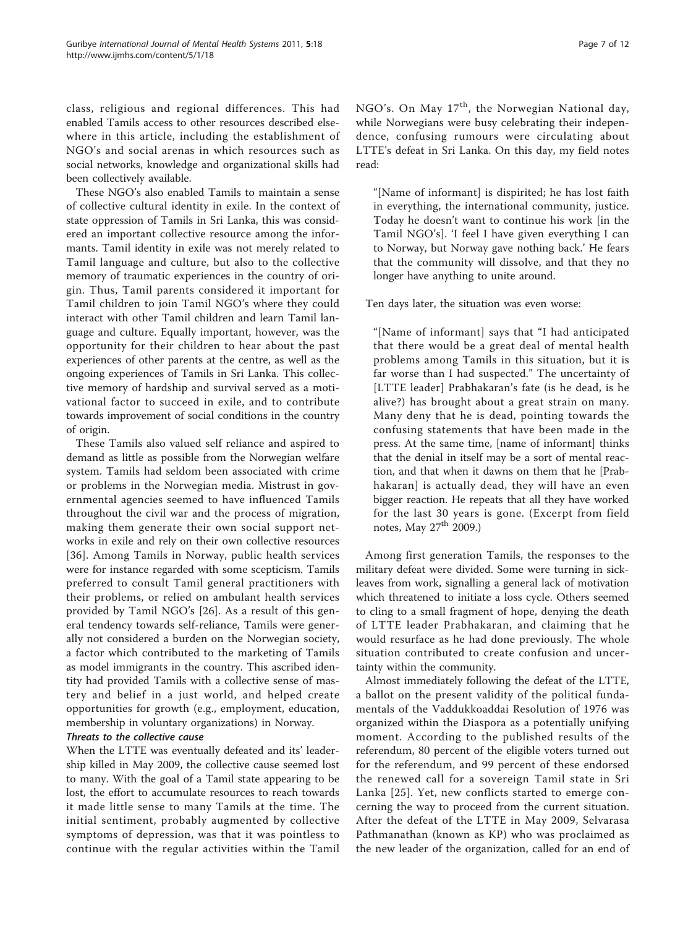class, religious and regional differences. This had enabled Tamils access to other resources described elsewhere in this article, including the establishment of NGO's and social arenas in which resources such as social networks, knowledge and organizational skills had been collectively available.

These NGO's also enabled Tamils to maintain a sense of collective cultural identity in exile. In the context of state oppression of Tamils in Sri Lanka, this was considered an important collective resource among the informants. Tamil identity in exile was not merely related to Tamil language and culture, but also to the collective memory of traumatic experiences in the country of origin. Thus, Tamil parents considered it important for Tamil children to join Tamil NGO's where they could interact with other Tamil children and learn Tamil language and culture. Equally important, however, was the opportunity for their children to hear about the past experiences of other parents at the centre, as well as the ongoing experiences of Tamils in Sri Lanka. This collective memory of hardship and survival served as a motivational factor to succeed in exile, and to contribute towards improvement of social conditions in the country of origin.

These Tamils also valued self reliance and aspired to demand as little as possible from the Norwegian welfare system. Tamils had seldom been associated with crime or problems in the Norwegian media. Mistrust in governmental agencies seemed to have influenced Tamils throughout the civil war and the process of migration, making them generate their own social support networks in exile and rely on their own collective resources [[36](#page-11-0)]. Among Tamils in Norway, public health services were for instance regarded with some scepticism. Tamils preferred to consult Tamil general practitioners with their problems, or relied on ambulant health services provided by Tamil NGO's [[26\]](#page-11-0). As a result of this general tendency towards self-reliance, Tamils were generally not considered a burden on the Norwegian society, a factor which contributed to the marketing of Tamils as model immigrants in the country. This ascribed identity had provided Tamils with a collective sense of mastery and belief in a just world, and helped create opportunities for growth (e.g., employment, education, membership in voluntary organizations) in Norway.

## Threats to the collective cause

When the LTTE was eventually defeated and its' leadership killed in May 2009, the collective cause seemed lost to many. With the goal of a Tamil state appearing to be lost, the effort to accumulate resources to reach towards it made little sense to many Tamils at the time. The initial sentiment, probably augmented by collective symptoms of depression, was that it was pointless to continue with the regular activities within the Tamil NGO's. On May  $17<sup>th</sup>$ , the Norwegian National day, while Norwegians were busy celebrating their independence, confusing rumours were circulating about LTTE's defeat in Sri Lanka. On this day, my field notes read:

"[Name of informant] is dispirited; he has lost faith in everything, the international community, justice. Today he doesn't want to continue his work [in the Tamil NGO's]. 'I feel I have given everything I can to Norway, but Norway gave nothing back.' He fears that the community will dissolve, and that they no longer have anything to unite around.

Ten days later, the situation was even worse:

"[Name of informant] says that "I had anticipated that there would be a great deal of mental health problems among Tamils in this situation, but it is far worse than I had suspected." The uncertainty of [LTTE leader] Prabhakaran's fate (is he dead, is he alive?) has brought about a great strain on many. Many deny that he is dead, pointing towards the confusing statements that have been made in the press. At the same time, [name of informant] thinks that the denial in itself may be a sort of mental reaction, and that when it dawns on them that he [Prabhakaran] is actually dead, they will have an even bigger reaction. He repeats that all they have worked for the last 30 years is gone. (Excerpt from field notes, May  $27<sup>th</sup>$  2009.)

Among first generation Tamils, the responses to the military defeat were divided. Some were turning in sickleaves from work, signalling a general lack of motivation which threatened to initiate a loss cycle. Others seemed to cling to a small fragment of hope, denying the death of LTTE leader Prabhakaran, and claiming that he would resurface as he had done previously. The whole situation contributed to create confusion and uncertainty within the community.

Almost immediately following the defeat of the LTTE, a ballot on the present validity of the political fundamentals of the Vaddukkoaddai Resolution of 1976 was organized within the Diaspora as a potentially unifying moment. According to the published results of the referendum, 80 percent of the eligible voters turned out for the referendum, and 99 percent of these endorsed the renewed call for a sovereign Tamil state in Sri Lanka [[25\]](#page-10-0). Yet, new conflicts started to emerge concerning the way to proceed from the current situation. After the defeat of the LTTE in May 2009, Selvarasa Pathmanathan (known as KP) who was proclaimed as the new leader of the organization, called for an end of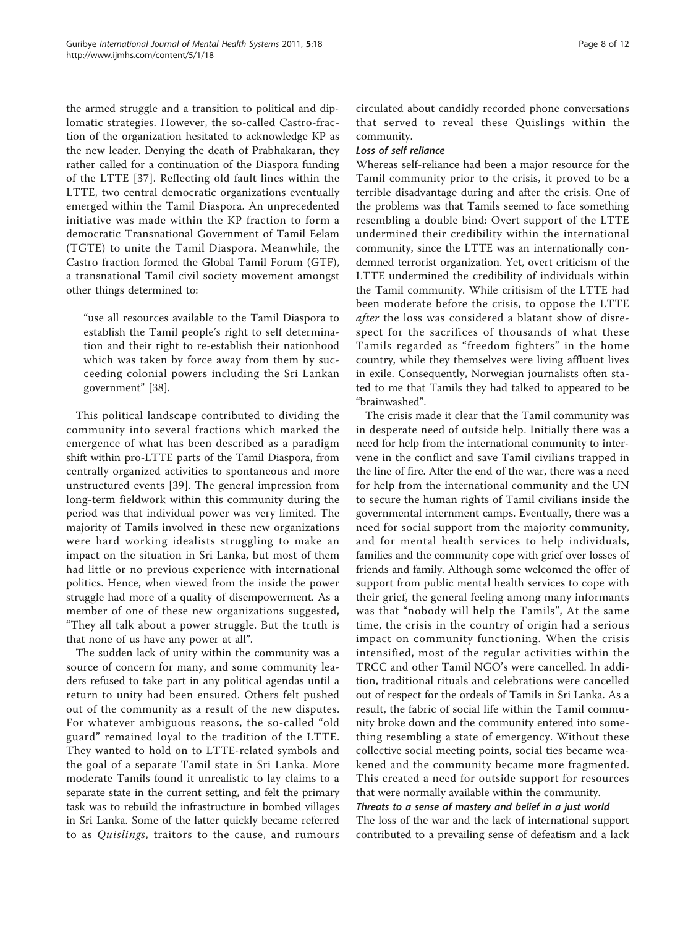the armed struggle and a transition to political and diplomatic strategies. However, the so-called Castro-fraction of the organization hesitated to acknowledge KP as the new leader. Denying the death of Prabhakaran, they rather called for a continuation of the Diaspora funding of the LTTE [[37\]](#page-11-0). Reflecting old fault lines within the LTTE, two central democratic organizations eventually emerged within the Tamil Diaspora. An unprecedented initiative was made within the KP fraction to form a democratic Transnational Government of Tamil Eelam (TGTE) to unite the Tamil Diaspora. Meanwhile, the Castro fraction formed the Global Tamil Forum (GTF), a transnational Tamil civil society movement amongst other things determined to:

"use all resources available to the Tamil Diaspora to establish the Tamil people's right to self determination and their right to re-establish their nationhood which was taken by force away from them by succeeding colonial powers including the Sri Lankan government" [\[38](#page-11-0)].

This political landscape contributed to dividing the community into several fractions which marked the emergence of what has been described as a paradigm shift within pro-LTTE parts of the Tamil Diaspora, from centrally organized activities to spontaneous and more unstructured events [[39\]](#page-11-0). The general impression from long-term fieldwork within this community during the period was that individual power was very limited. The majority of Tamils involved in these new organizations were hard working idealists struggling to make an impact on the situation in Sri Lanka, but most of them had little or no previous experience with international politics. Hence, when viewed from the inside the power struggle had more of a quality of disempowerment. As a member of one of these new organizations suggested, "They all talk about a power struggle. But the truth is that none of us have any power at all".

The sudden lack of unity within the community was a source of concern for many, and some community leaders refused to take part in any political agendas until a return to unity had been ensured. Others felt pushed out of the community as a result of the new disputes. For whatever ambiguous reasons, the so-called "old guard" remained loyal to the tradition of the LTTE. They wanted to hold on to LTTE-related symbols and the goal of a separate Tamil state in Sri Lanka. More moderate Tamils found it unrealistic to lay claims to a separate state in the current setting, and felt the primary task was to rebuild the infrastructure in bombed villages in Sri Lanka. Some of the latter quickly became referred to as Quislings, traitors to the cause, and rumours

circulated about candidly recorded phone conversations that served to reveal these Quislings within the community.

#### Loss of self reliance

Whereas self-reliance had been a major resource for the Tamil community prior to the crisis, it proved to be a terrible disadvantage during and after the crisis. One of the problems was that Tamils seemed to face something resembling a double bind: Overt support of the LTTE undermined their credibility within the international community, since the LTTE was an internationally condemned terrorist organization. Yet, overt criticism of the LTTE undermined the credibility of individuals within the Tamil community. While critisism of the LTTE had been moderate before the crisis, to oppose the LTTE after the loss was considered a blatant show of disrespect for the sacrifices of thousands of what these Tamils regarded as "freedom fighters" in the home country, while they themselves were living affluent lives in exile. Consequently, Norwegian journalists often stated to me that Tamils they had talked to appeared to be "brainwashed".

The crisis made it clear that the Tamil community was in desperate need of outside help. Initially there was a need for help from the international community to intervene in the conflict and save Tamil civilians trapped in the line of fire. After the end of the war, there was a need for help from the international community and the UN to secure the human rights of Tamil civilians inside the governmental internment camps. Eventually, there was a need for social support from the majority community, and for mental health services to help individuals, families and the community cope with grief over losses of friends and family. Although some welcomed the offer of support from public mental health services to cope with their grief, the general feeling among many informants was that "nobody will help the Tamils", At the same time, the crisis in the country of origin had a serious impact on community functioning. When the crisis intensified, most of the regular activities within the TRCC and other Tamil NGO's were cancelled. In addition, traditional rituals and celebrations were cancelled out of respect for the ordeals of Tamils in Sri Lanka. As a result, the fabric of social life within the Tamil community broke down and the community entered into something resembling a state of emergency. Without these collective social meeting points, social ties became weakened and the community became more fragmented. This created a need for outside support for resources that were normally available within the community.

Threats to a sense of mastery and belief in a just world

The loss of the war and the lack of international support contributed to a prevailing sense of defeatism and a lack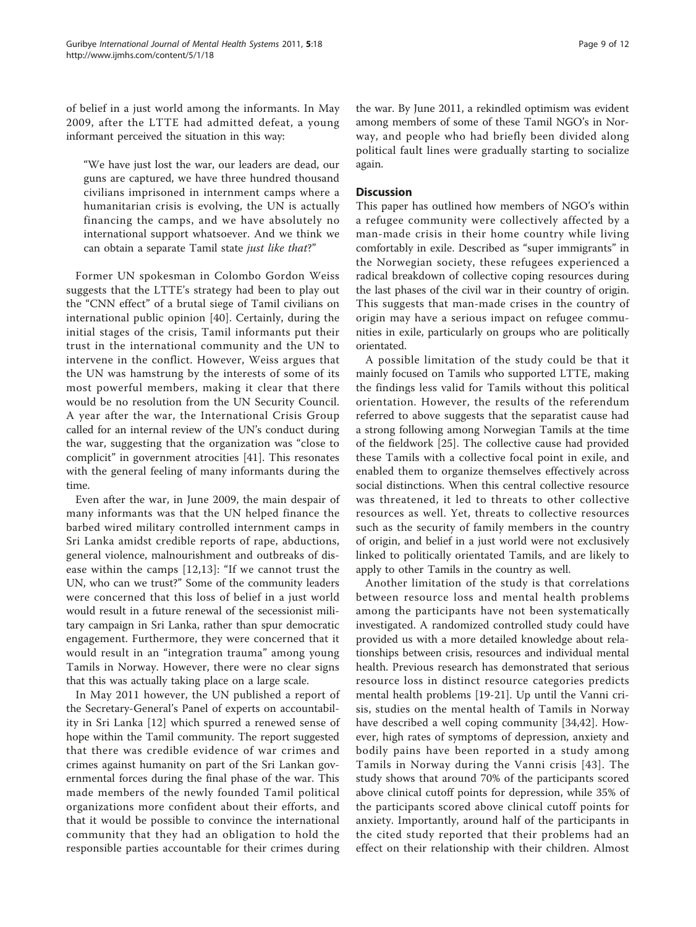of belief in a just world among the informants. In May 2009, after the LTTE had admitted defeat, a young informant perceived the situation in this way:

"We have just lost the war, our leaders are dead, our guns are captured, we have three hundred thousand civilians imprisoned in internment camps where a humanitarian crisis is evolving, the UN is actually financing the camps, and we have absolutely no international support whatsoever. And we think we can obtain a separate Tamil state just like that?"

Former UN spokesman in Colombo Gordon Weiss suggests that the LTTE's strategy had been to play out the "CNN effect" of a brutal siege of Tamil civilians on international public opinion [[40\]](#page-11-0). Certainly, during the initial stages of the crisis, Tamil informants put their trust in the international community and the UN to intervene in the conflict. However, Weiss argues that the UN was hamstrung by the interests of some of its most powerful members, making it clear that there would be no resolution from the UN Security Council. A year after the war, the International Crisis Group called for an internal review of the UN's conduct during the war, suggesting that the organization was "close to complicit" in government atrocities [\[41](#page-11-0)]. This resonates with the general feeling of many informants during the time.

Even after the war, in June 2009, the main despair of many informants was that the UN helped finance the barbed wired military controlled internment camps in Sri Lanka amidst credible reports of rape, abductions, general violence, malnourishment and outbreaks of disease within the camps [[12,13](#page-10-0)]: "If we cannot trust the UN, who can we trust?" Some of the community leaders were concerned that this loss of belief in a just world would result in a future renewal of the secessionist military campaign in Sri Lanka, rather than spur democratic engagement. Furthermore, they were concerned that it would result in an "integration trauma" among young Tamils in Norway. However, there were no clear signs that this was actually taking place on a large scale.

In May 2011 however, the UN published a report of the Secretary-General's Panel of experts on accountability in Sri Lanka [\[12](#page-10-0)] which spurred a renewed sense of hope within the Tamil community. The report suggested that there was credible evidence of war crimes and crimes against humanity on part of the Sri Lankan governmental forces during the final phase of the war. This made members of the newly founded Tamil political organizations more confident about their efforts, and that it would be possible to convince the international community that they had an obligation to hold the responsible parties accountable for their crimes during

## **Discussion**

This paper has outlined how members of NGO's within a refugee community were collectively affected by a man-made crisis in their home country while living comfortably in exile. Described as "super immigrants" in the Norwegian society, these refugees experienced a radical breakdown of collective coping resources during the last phases of the civil war in their country of origin. This suggests that man-made crises in the country of origin may have a serious impact on refugee communities in exile, particularly on groups who are politically orientated.

A possible limitation of the study could be that it mainly focused on Tamils who supported LTTE, making the findings less valid for Tamils without this political orientation. However, the results of the referendum referred to above suggests that the separatist cause had a strong following among Norwegian Tamils at the time of the fieldwork [[25\]](#page-10-0). The collective cause had provided these Tamils with a collective focal point in exile, and enabled them to organize themselves effectively across social distinctions. When this central collective resource was threatened, it led to threats to other collective resources as well. Yet, threats to collective resources such as the security of family members in the country of origin, and belief in a just world were not exclusively linked to politically orientated Tamils, and are likely to apply to other Tamils in the country as well.

Another limitation of the study is that correlations between resource loss and mental health problems among the participants have not been systematically investigated. A randomized controlled study could have provided us with a more detailed knowledge about relationships between crisis, resources and individual mental health. Previous research has demonstrated that serious resource loss in distinct resource categories predicts mental health problems [[19-21](#page-10-0)]. Up until the Vanni crisis, studies on the mental health of Tamils in Norway have described a well coping community [[34,42](#page-11-0)]. However, high rates of symptoms of depression, anxiety and bodily pains have been reported in a study among Tamils in Norway during the Vanni crisis [[43\]](#page-11-0). The study shows that around 70% of the participants scored above clinical cutoff points for depression, while 35% of the participants scored above clinical cutoff points for anxiety. Importantly, around half of the participants in the cited study reported that their problems had an effect on their relationship with their children. Almost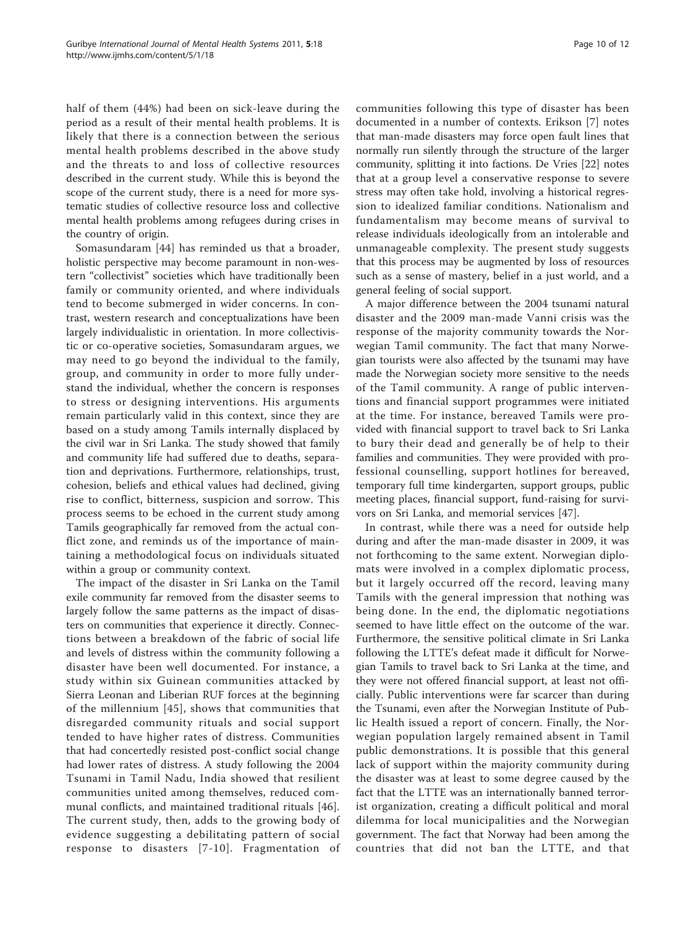half of them (44%) had been on sick-leave during the period as a result of their mental health problems. It is likely that there is a connection between the serious mental health problems described in the above study and the threats to and loss of collective resources described in the current study. While this is beyond the scope of the current study, there is a need for more systematic studies of collective resource loss and collective mental health problems among refugees during crises in the country of origin.

Somasundaram [\[44\]](#page-11-0) has reminded us that a broader, holistic perspective may become paramount in non-western "collectivist" societies which have traditionally been family or community oriented, and where individuals tend to become submerged in wider concerns. In contrast, western research and conceptualizations have been largely individualistic in orientation. In more collectivistic or co-operative societies, Somasundaram argues, we may need to go beyond the individual to the family, group, and community in order to more fully understand the individual, whether the concern is responses to stress or designing interventions. His arguments remain particularly valid in this context, since they are based on a study among Tamils internally displaced by the civil war in Sri Lanka. The study showed that family and community life had suffered due to deaths, separation and deprivations. Furthermore, relationships, trust, cohesion, beliefs and ethical values had declined, giving rise to conflict, bitterness, suspicion and sorrow. This process seems to be echoed in the current study among Tamils geographically far removed from the actual conflict zone, and reminds us of the importance of maintaining a methodological focus on individuals situated within a group or community context.

The impact of the disaster in Sri Lanka on the Tamil exile community far removed from the disaster seems to largely follow the same patterns as the impact of disasters on communities that experience it directly. Connections between a breakdown of the fabric of social life and levels of distress within the community following a disaster have been well documented. For instance, a study within six Guinean communities attacked by Sierra Leonan and Liberian RUF forces at the beginning of the millennium [[45\]](#page-11-0), shows that communities that disregarded community rituals and social support tended to have higher rates of distress. Communities that had concertedly resisted post-conflict social change had lower rates of distress. A study following the 2004 Tsunami in Tamil Nadu, India showed that resilient communities united among themselves, reduced communal conflicts, and maintained traditional rituals [\[46](#page-11-0)]. The current study, then, adds to the growing body of evidence suggesting a debilitating pattern of social response to disasters [[7-10](#page-10-0)]. Fragmentation of communities following this type of disaster has been documented in a number of contexts. Erikson [[7\]](#page-10-0) notes that man-made disasters may force open fault lines that normally run silently through the structure of the larger community, splitting it into factions. De Vries [[22](#page-10-0)] notes that at a group level a conservative response to severe stress may often take hold, involving a historical regression to idealized familiar conditions. Nationalism and fundamentalism may become means of survival to release individuals ideologically from an intolerable and unmanageable complexity. The present study suggests that this process may be augmented by loss of resources such as a sense of mastery, belief in a just world, and a general feeling of social support.

A major difference between the 2004 tsunami natural disaster and the 2009 man-made Vanni crisis was the response of the majority community towards the Norwegian Tamil community. The fact that many Norwegian tourists were also affected by the tsunami may have made the Norwegian society more sensitive to the needs of the Tamil community. A range of public interventions and financial support programmes were initiated at the time. For instance, bereaved Tamils were provided with financial support to travel back to Sri Lanka to bury their dead and generally be of help to their families and communities. They were provided with professional counselling, support hotlines for bereaved, temporary full time kindergarten, support groups, public meeting places, financial support, fund-raising for survivors on Sri Lanka, and memorial services [\[47\]](#page-11-0).

In contrast, while there was a need for outside help during and after the man-made disaster in 2009, it was not forthcoming to the same extent. Norwegian diplomats were involved in a complex diplomatic process, but it largely occurred off the record, leaving many Tamils with the general impression that nothing was being done. In the end, the diplomatic negotiations seemed to have little effect on the outcome of the war. Furthermore, the sensitive political climate in Sri Lanka following the LTTE's defeat made it difficult for Norwegian Tamils to travel back to Sri Lanka at the time, and they were not offered financial support, at least not officially. Public interventions were far scarcer than during the Tsunami, even after the Norwegian Institute of Public Health issued a report of concern. Finally, the Norwegian population largely remained absent in Tamil public demonstrations. It is possible that this general lack of support within the majority community during the disaster was at least to some degree caused by the fact that the LTTE was an internationally banned terrorist organization, creating a difficult political and moral dilemma for local municipalities and the Norwegian government. The fact that Norway had been among the countries that did not ban the LTTE, and that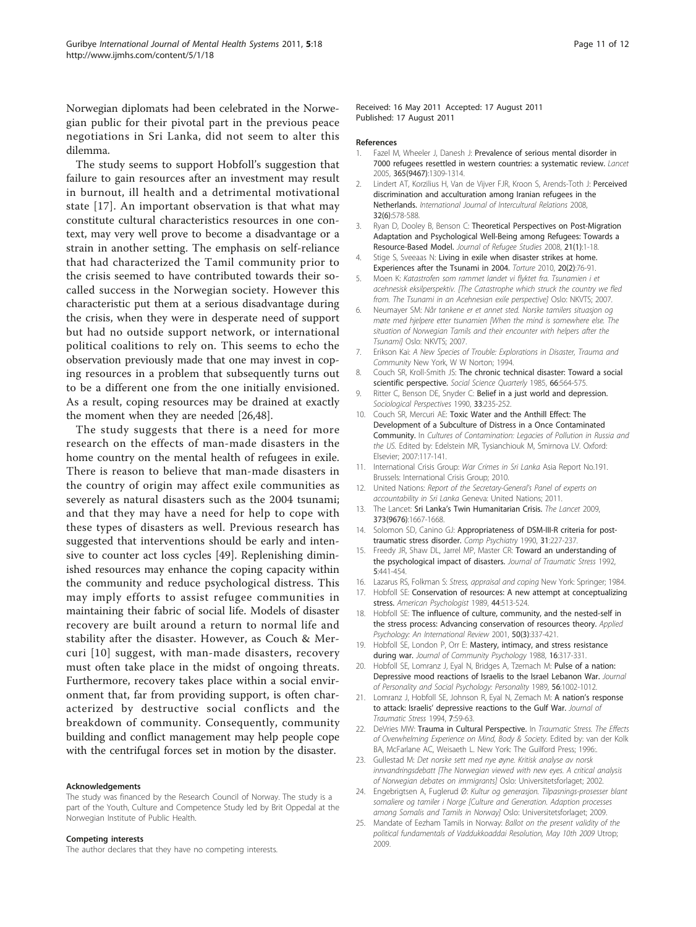<span id="page-10-0"></span>Norwegian diplomats had been celebrated in the Norwegian public for their pivotal part in the previous peace negotiations in Sri Lanka, did not seem to alter this dilemma.

The study seems to support Hobfoll's suggestion that failure to gain resources after an investment may result in burnout, ill health and a detrimental motivational state [17]. An important observation is that what may constitute cultural characteristics resources in one context, may very well prove to become a disadvantage or a strain in another setting. The emphasis on self-reliance that had characterized the Tamil community prior to the crisis seemed to have contributed towards their socalled success in the Norwegian society. However this characteristic put them at a serious disadvantage during the crisis, when they were in desperate need of support but had no outside support network, or international political coalitions to rely on. This seems to echo the observation previously made that one may invest in coping resources in a problem that subsequently turns out to be a different one from the one initially envisioned. As a result, coping resources may be drained at exactly the moment when they are needed [[26,48](#page-11-0)].

The study suggests that there is a need for more research on the effects of man-made disasters in the home country on the mental health of refugees in exile. There is reason to believe that man-made disasters in the country of origin may affect exile communities as severely as natural disasters such as the 2004 tsunami; and that they may have a need for help to cope with these types of disasters as well. Previous research has suggested that interventions should be early and intensive to counter act loss cycles [[49\]](#page-11-0). Replenishing diminished resources may enhance the coping capacity within the community and reduce psychological distress. This may imply efforts to assist refugee communities in maintaining their fabric of social life. Models of disaster recovery are built around a return to normal life and stability after the disaster. However, as Couch & Mercuri [10] suggest, with man-made disasters, recovery must often take place in the midst of ongoing threats. Furthermore, recovery takes place within a social environment that, far from providing support, is often characterized by destructive social conflicts and the breakdown of community. Consequently, community building and conflict management may help people cope with the centrifugal forces set in motion by the disaster.

#### Acknowledgements

The study was financed by the Research Council of Norway. The study is a part of the Youth, Culture and Competence Study led by Brit Oppedal at the Norwegian Institute of Public Health.

#### Competing interests

The author declares that they have no competing interests.

Received: 16 May 2011 Accepted: 17 August 2011 Published: 17 August 2011

#### References

- Fazel M, Wheeler J, Danesh J: Prevalence of serious mental disorder in 7000 refugees resettled in western countries: a systematic review. Lancet 2005, 365(9467):1309-1314.
- 2. Lindert AT, Korzilius H, Van de Vijver FJR, Kroon S, Arends-Toth J: Perceived discrimination and acculturation among Iranian refugees in the Netherlands. International Journal of Intercultural Relations 2008, 32(6):578-588.
- 3. Ryan D, Dooley B, Benson C: Theoretical Perspectives on Post-Migration Adaptation and Psychological Well-Being among Refugees: Towards a Resource-Based Model. Journal of Refugee Studies 2008, 21(1):1-18.
- 4. Stige S, Sveeaas N: [Living in exile when disaster strikes at home.](http://www.ncbi.nlm.nih.gov/pubmed/20952824?dopt=Abstract) [Experiences after the Tsunami in 2004.](http://www.ncbi.nlm.nih.gov/pubmed/20952824?dopt=Abstract) Torture 2010, 20(2):76-91.
- 5. Moen K: Katastrofen som rammet landet vi flyktet fra. Tsunamien i et acehnesisk eksilperspektiv. [The Catastrophe which struck the country we fled from. The Tsunami in an Acehnesian exile perspective] Oslo: NKVTS; 2007.
- 6. Neumayer SM: Når tankene er et annet sted. Norske tamilers situasjon og møte med hjelpere etter tsunamien [When the mind is somewhere else. The situation of Norwegian Tamils and their encounter with helpers after the Tsunami] Oslo: NKVTS; 2007.
- 7. Erikson Kai: A New Species of Trouble: Explorations in Disaster, Trauma and Community New York, W W Norton; 1994.
- 8. Couch SR, Kroll-Smith JS: The chronic technical disaster: Toward a social scientific perspective. Social Science Quarterly 1985, 66:564-575.
- 9. Ritter C, Benson DE, Snyder C: Belief in a just world and depression. Sociological Perspectives 1990, 33:235-252.
- 10. Couch SR, Mercuri AE: Toxic Water and the Anthill Effect: The Development of a Subculture of Distress in a Once Contaminated Community. In Cultures of Contamination: Legacies of Pollution in Russia and the US. Edited by: Edelstein MR, Tysianchiouk M, Smirnova LV. Oxford: Elsevier; 2007:117-141.
- 11. International Crisis Group: War Crimes in Sri Lanka Asia Report No.191. Brussels: International Crisis Group; 2010.
- 12. United Nations: Report of the Secretary-General's Panel of experts on accountability in Sri Lanka Geneva: United Nations; 2011.
- 13. The Lancet: Sri Lanka's Twin Humanitarian Crisis. The Lancet 2009, 373(9676):1667-1668.
- 14. Solomon SD, Canino GJ: Appropriateness of DSM-III-R criteria for posttraumatic stress disorder. Comp Psychiatry 1990, 31:227-237.
- 15. Freedy JR, Shaw DL, Jarrel MP, Master CR: Toward an understanding of the psychological impact of disasters. Journal of Traumatic Stress 1992, 5:441-454.
- 16. Lazarus RS, Folkman S: Stress, appraisal and coping New York: Springer; 1984.
- 17. Hobfoll SE: [Conservation of resources: A new attempt at conceptualizing](http://www.ncbi.nlm.nih.gov/pubmed/2648906?dopt=Abstract) [stress.](http://www.ncbi.nlm.nih.gov/pubmed/2648906?dopt=Abstract) American Psychologist 1989, 44:513-524.
- 18. Hobfoll SE: The influence of culture, community, and the nested-self in the stress process: Advancing conservation of resources theory. Applied Psychology: An International Review 2001, 50(3):337-421.
- 19. Hobfoll SE, London P, Orr E: Mastery, intimacy, and stress resistance during war. Journal of Community Psychology 1988, 16:317-331.
- 20. Hobfoll SE, Lomranz J, Eyal N, Bridges A, Tzemach M: Pulse of a nation: Depressive mood reactions of Israelis to the Israel Lebanon War. Journal of Personality and Social Psychology: Personality 1989, 56:1002-1012.
- 21. Lomranz J, Hobfoll SE, Johnson R, Eyal N, Zemach M: A nation'[s response](http://www.ncbi.nlm.nih.gov/pubmed/8044443?dopt=Abstract) to attack: Israelis' [depressive reactions to the Gulf War.](http://www.ncbi.nlm.nih.gov/pubmed/8044443?dopt=Abstract) Journal of Traumatic Stress 1994, 7:59-63.
- 22. DeVries MW: Trauma in Cultural Perspective. In Traumatic Stress. The Effects of Overwhelming Experience on Mind, Body & Society. Edited by: van der Kolk BA, McFarlane AC, Weisaeth L. New York: The Guilford Press; 1996:.
- 23. Gullestad M: Det norske sett med nye øyne. Kritisk analyse av norsk innvandringsdebatt [The Norwegian viewed with new eyes. A critical analysis of Norwegian debates on immigrants] Oslo: Universitetsforlaget; 2002.
- 24. Engebrigtsen A, Fuglerud Ø: Kultur og generasjon. Tilpasnings-prosesser blant somaliere og tamiler i Norge [Culture and Generation. Adaption processes among Somalis and Tamils in Norway] Oslo: Universitetsforlaget; 2009.
- 25. Mandate of Eezham Tamils in Norway: Ballot on the present validity of the political fundamentals of Vaddukkoaddai Resolution, May 10th 2009 Utrop; 2009.